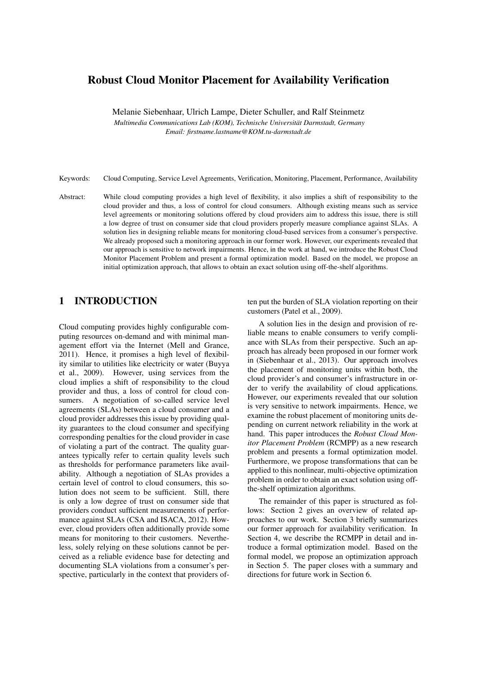# Robust Cloud Monitor Placement for Availability Verification

Melanie Siebenhaar, Ulrich Lampe, Dieter Schuller, and Ralf Steinmetz

*Multimedia Communications Lab (KOM), Technische Universitat Darmstadt, Germany ¨ Email: firstname.lastname@KOM.tu-darmstadt.de*

Keywords: Cloud Computing, Service Level Agreements, Verification, Monitoring, Placement, Performance, Availability

Abstract: While cloud computing provides a high level of flexibility, it also implies a shift of responsibility to the cloud provider and thus, a loss of control for cloud consumers. Although existing means such as service level agreements or monitoring solutions offered by cloud providers aim to address this issue, there is still a low degree of trust on consumer side that cloud providers properly measure compliance against SLAs. A solution lies in designing reliable means for monitoring cloud-based services from a consumer's perspective. We already proposed such a monitoring approach in our former work. However, our experiments revealed that our approach is sensitive to network impairments. Hence, in the work at hand, we introduce the Robust Cloud Monitor Placement Problem and present a formal optimization model. Based on the model, we propose an initial optimization approach, that allows to obtain an exact solution using off-the-shelf algorithms.

# 1 INTRODUCTION

Cloud computing provides highly configurable computing resources on-demand and with minimal management effort via the Internet (Mell and Grance, 2011). Hence, it promises a high level of flexibility similar to utilities like electricity or water (Buyya et al., 2009). However, using services from the cloud implies a shift of responsibility to the cloud provider and thus, a loss of control for cloud consumers. A negotiation of so-called service level agreements (SLAs) between a cloud consumer and a cloud provider addresses this issue by providing quality guarantees to the cloud consumer and specifying corresponding penalties for the cloud provider in case of violating a part of the contract. The quality guarantees typically refer to certain quality levels such as thresholds for performance parameters like availability. Although a negotiation of SLAs provides a certain level of control to cloud consumers, this solution does not seem to be sufficient. Still, there is only a low degree of trust on consumer side that providers conduct sufficient measurements of performance against SLAs (CSA and ISACA, 2012). However, cloud providers often additionally provide some means for monitoring to their customers. Nevertheless, solely relying on these solutions cannot be perceived as a reliable evidence base for detecting and documenting SLA violations from a consumer's perspective, particularly in the context that providers often put the burden of SLA violation reporting on their customers (Patel et al., 2009).

A solution lies in the design and provision of reliable means to enable consumers to verify compliance with SLAs from their perspective. Such an approach has already been proposed in our former work in (Siebenhaar et al., 2013). Our approach involves the placement of monitoring units within both, the cloud provider's and consumer's infrastructure in order to verify the availability of cloud applications. However, our experiments revealed that our solution is very sensitive to network impairments. Hence, we examine the robust placement of monitoring units depending on current network reliability in the work at hand. This paper introduces the *Robust Cloud Monitor Placement Problem* (RCMPP) as a new research problem and presents a formal optimization model. Furthermore, we propose transformations that can be applied to this nonlinear, multi-objective optimization problem in order to obtain an exact solution using offthe-shelf optimization algorithms.

The remainder of this paper is structured as follows: Section 2 gives an overview of related approaches to our work. Section 3 briefly summarizes our former approach for availability verification. In Section 4, we describe the RCMPP in detail and introduce a formal optimization model. Based on the formal model, we propose an optimization approach in Section 5. The paper closes with a summary and directions for future work in Section 6.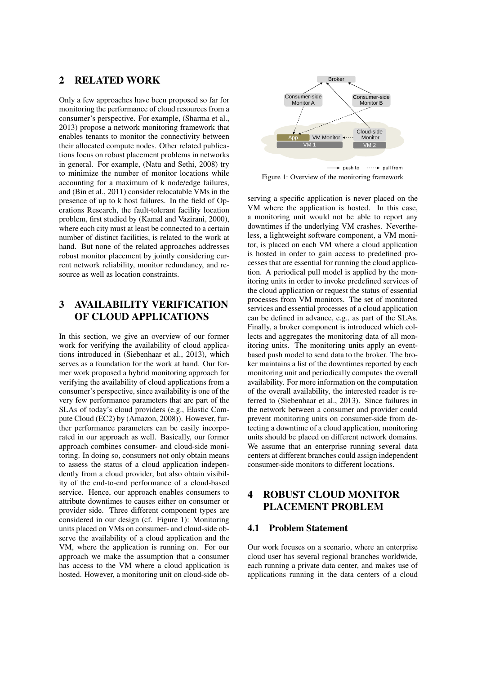## 2 RELATED WORK

Only a few approaches have been proposed so far for monitoring the performance of cloud resources from a consumer's perspective. For example, (Sharma et al., 2013) propose a network monitoring framework that enables tenants to monitor the connectivity between their allocated compute nodes. Other related publications focus on robust placement problems in networks in general. For example, (Natu and Sethi, 2008) try to minimize the number of monitor locations while accounting for a maximum of k node/edge failures, and (Bin et al., 2011) consider relocatable VMs in the presence of up to k host failures. In the field of Operations Research, the fault-tolerant facility location problem, first studied by (Kamal and Vazirani, 2000), where each city must at least be connected to a certain number of distinct facilities, is related to the work at hand. But none of the related approaches addresses robust monitor placement by jointly considering current network reliability, monitor redundancy, and resource as well as location constraints.

# 3 AVAILABILITY VERIFICATION OF CLOUD APPLICATIONS

In this section, we give an overview of our former work for verifying the availability of cloud applications introduced in (Siebenhaar et al., 2013), which serves as a foundation for the work at hand. Our former work proposed a hybrid monitoring approach for verifying the availability of cloud applications from a consumer's perspective, since availability is one of the very few performance parameters that are part of the SLAs of today's cloud providers (e.g., Elastic Compute Cloud (EC2) by (Amazon, 2008)). However, further performance parameters can be easily incorporated in our approach as well. Basically, our former approach combines consumer- and cloud-side monitoring. In doing so, consumers not only obtain means to assess the status of a cloud application independently from a cloud provider, but also obtain visibility of the end-to-end performance of a cloud-based service. Hence, our approach enables consumers to attribute downtimes to causes either on consumer or provider side. Three different component types are considered in our design (cf. Figure 1): Monitoring units placed on VMs on consumer- and cloud-side observe the availability of a cloud application and the VM, where the application is running on. For our approach we make the assumption that a consumer has access to the VM where a cloud application is hosted. However, a monitoring unit on cloud-side ob-



Figure 1: Overview of the monitoring framework

serving a specific application is never placed on the VM where the application is hosted. In this case, a monitoring unit would not be able to report any downtimes if the underlying VM crashes. Nevertheless, a lightweight software component, a VM monitor, is placed on each VM where a cloud application is hosted in order to gain access to predefined processes that are essential for running the cloud application. A periodical pull model is applied by the monitoring units in order to invoke predefined services of the cloud application or request the status of essential processes from VM monitors. The set of monitored services and essential processes of a cloud application can be defined in advance, e.g., as part of the SLAs. Finally, a broker component is introduced which collects and aggregates the monitoring data of all monitoring units. The monitoring units apply an eventbased push model to send data to the broker. The broker maintains a list of the downtimes reported by each monitoring unit and periodically computes the overall availability. For more information on the computation of the overall availability, the interested reader is referred to (Siebenhaar et al., 2013). Since failures in the network between a consumer and provider could prevent monitoring units on consumer-side from detecting a downtime of a cloud application, monitoring units should be placed on different network domains. We assume that an enterprise running several data centers at different branches could assign independent consumer-side monitors to different locations.

## 4 ROBUST CLOUD MONITOR PLACEMENT PROBLEM

### 4.1 Problem Statement

Our work focuses on a scenario, where an enterprise cloud user has several regional branches worldwide, each running a private data center, and makes use of applications running in the data centers of a cloud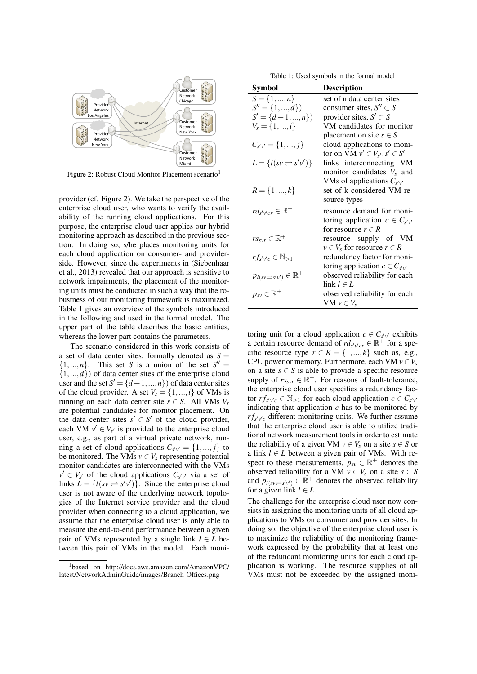

Figure 2: Robust Cloud Monitor Placement scenario<sup>1</sup>

provider (cf. Figure 2). We take the perspective of the enterprise cloud user, who wants to verify the availability of the running cloud applications. For this purpose, the enterprise cloud user applies our hybrid monitoring approach as described in the previous section. In doing so, s/he places monitoring units for each cloud application on consumer- and providerside. However, since the experiments in (Siebenhaar et al., 2013) revealed that our approach is sensitive to network impairments, the placement of the monitoring units must be conducted in such a way that the robustness of our monitoring framework is maximized. Table 1 gives an overview of the symbols introduced in the following and used in the formal model. The upper part of the table describes the basic entities, whereas the lower part contains the parameters.

The scenario considered in this work consists of a set of data center sites, formally denoted as  $S =$  $\{1,...,n\}$ . This set *S* is a union of the set  $S'' =$  $\{1,...,d\}$ ) of data center sites of the enterprise cloud user and the set  $S' = \{d+1, ..., n\}$  of data center sites of the cloud provider. A set  $V_s = \{1, ..., i\}$  of VMs is running on each data center site  $s \in S$ . All VMs  $V_s$ are potential candidates for monitor placement. On the data center sites  $s' \in S'$  of the cloud provider, each VM  $v' \in V_{s'}$  is provided to the enterprise cloud user, e.g., as part of a virtual private network, running a set of cloud applications  $C_{s'v'} = \{1, ..., j\}$  to be monitored. The VMs  $v \in V_s$  representing potential monitor candidates are interconnected with the VMs  $v' \in V_{s'}$  of the cloud applications  $C_{s'v'}$  via a set of links  $\hat{L} = \{l(sv \rightleftharpoons s'v')\}$ . Since the enterprise cloud user is not aware of the underlying network topologies of the Internet service provider and the cloud provider when connecting to a cloud application, we assume that the enterprise cloud user is only able to measure the end-to-end performance between a given pair of VMs represented by a single link  $l \in L$  between this pair of VMs in the model. Each moni-

Table 1: Used symbols in the formal model

| Symbol                                               | <b>Description</b>                      |
|------------------------------------------------------|-----------------------------------------|
| $S = \{1, , n\}$                                     | set of n data center sites              |
| $S'' = \{1, , d\}$                                   | consumer sites, $S'' \subset S$         |
| $S' = \{d+1,,n\}$                                    | provider sites, $S' \subset S$          |
| $V_s = \{1, , i\}$                                   | VM candidates for monitor               |
|                                                      | placement on site $s \in S$             |
| $C_{s'v'} = \{1, , j\}$                              | cloud applications to moni-             |
|                                                      | tor on VM $v' \in V_{s'}$ , $s' \in S'$ |
| $L = \{l(sv \rightleftharpoons s'v')\}$              | links interconnecting VM                |
|                                                      | monitor candidates $V_s$ and            |
|                                                      | VMs of applications $C_{s'v'}$          |
| $R = \{1, , k\}$                                     | set of k considered VM re-              |
|                                                      | source types                            |
| $rd_{s'v'cr} \in \mathbb{R}^+$                       | resource demand for moni-               |
|                                                      | toring application $c \in C_{s'v'}$     |
|                                                      | for resource $r \in R$                  |
| $rs_{svr} \in \mathbb{R}^+$                          | resource supply of VM                   |
|                                                      | $v \in V_s$ for resource $r \in R$      |
| $rf_{s'v'c} \in \mathbb{N}_{>1}$                     | redundancy factor for moni-             |
|                                                      | toring application $c \in C_{s'v'}$     |
| $p_{l(sv \rightleftharpoons s'v')} \in \mathbb{R}^+$ | observed reliability for each           |
|                                                      | $\text{link } l \in L$                  |
| $p_{sv} \in \mathbb{R}^+$                            | observed reliability for each           |
|                                                      | VM $v \in V_s$                          |

toring unit for a cloud application  $c \in C_{s'v'}$  exhibits a certain resource demand of  $rd_{s'v'cr} \in \mathbb{R}^+$  for a specific resource type  $r \in R = \{1, ..., k\}$  such as, e.g., CPU power or memory. Furthermore, each VM  $v \in V_s$ on a site  $s \in S$  is able to provide a specific resource supply of  $rs_{svr} \in \mathbb{R}^+$ . For reasons of fault-tolerance, the enterprise cloud user specifies a redundancy factor  $rf_{s'v'c} \in \mathbb{N}_{>1}$  for each cloud application  $c \in C_{s'v'}$ indicating that application  $c$  has to be monitored by  $rf_{s'v'c}$  different monitoring units. We further assume that the enterprise cloud user is able to utilize traditional network measurement tools in order to estimate the reliability of a given VM  $v \in V_s$  on a site  $s \in S$  or a link  $l \in L$  between a given pair of VMs. With respect to these measurements,  $p_{sv} \in \mathbb{R}^+$  denotes the observed reliability for a VM  $v \in V_s$  on a site  $s \in S$ and  $p_{l(sv \rightleftharpoons s'v')} \in \mathbb{R}^+$  denotes the observed reliability for a given link  $l \in L$ .

The challenge for the enterprise cloud user now consists in assigning the monitoring units of all cloud applications to VMs on consumer and provider sites. In doing so, the objective of the enterprise cloud user is to maximize the reliability of the monitoring framework expressed by the probability that at least one of the redundant monitoring units for each cloud application is working. The resource supplies of all VMs must not be exceeded by the assigned moni-

<sup>1</sup>based on http://docs.aws.amazon.com/AmazonVPC/ latest/NetworkAdminGuide/images/Branch Offices.png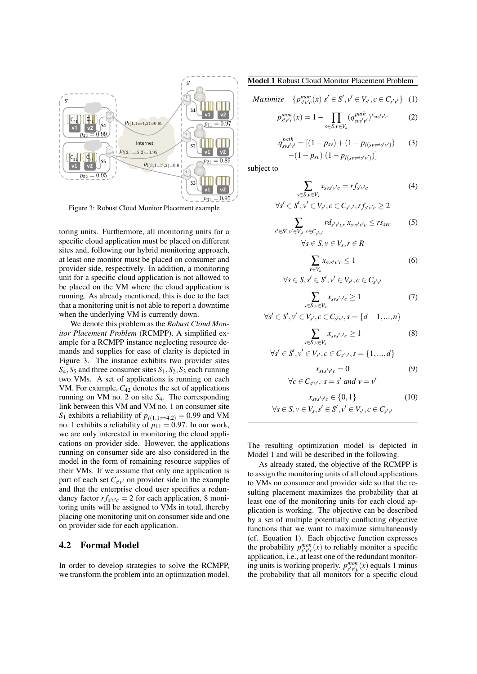

Figure 3: Robust Cloud Monitor Placement example

toring units. Furthermore, all monitoring units for a specific cloud application must be placed on different sites and, following our hybrid monitoring approach, at least one monitor must be placed on consumer and provider side, respectively. In addition, a monitoring unit for a specific cloud application is not allowed to be placed on the VM where the cloud application is running. As already mentioned, this is due to the fact that a monitoring unit is not able to report a downtime when the underlying VM is currently down.

We denote this problem as the *Robust Cloud Monitor Placement Problem* (RCMPP). A simplified example for a RCMPP instance neglecting resource demands and supplies for ease of clarity is depicted in Figure 3. The instance exhibits two provider sites  $S_4$ ,  $S_5$  and three consumer sites  $S_1$ ,  $S_2$ ,  $S_3$  each running two VMs. A set of applications is running on each VM. For example, *C*<sup>42</sup> denotes the set of applications running on VM no. 2 on site *S*4. The corresponding link between this VM and VM no. 1 on consumer site *S*<sub>1</sub> exhibits a reliability of  $p_{l(1,1)\neq 4,2} = 0.99$  and VM no. 1 exhibits a reliability of  $p_{11} = 0.97$ . In our work, we are only interested in monitoring the cloud applications on provider side. However, the applications running on consumer side are also considered in the model in the form of remaining resource supplies of their VMs. If we assume that only one application is part of each set  $C_{s'v'}$  on provider side in the example and that the enterprise cloud user specifies a redundancy factor  $rf_{s'v'c} = 2$  for each application, 8 monitoring units will be assigned to VMs in total, thereby placing one monitoring unit on consumer side and one on provider side for each application.

#### 4.2 Formal Model

In order to develop strategies to solve the RCMPP, we transform the problem into an optimization model. Model 1 Robust Cloud Monitor Placement Problem

$$
Maximize \quad \{p_{s'v'c}^{mon}(x) | s' \in S', v' \in V_{s'}, c \in C_{s'v'}\} \quad (1)
$$

$$
p_{s'v'c}^{mon}(x) = 1 - \prod_{s \in S, v \in V_s} (q_{svs'v'}^{path})^{x_{svs'v'c}}
$$
 (2)

$$
q_{\text{sys}'\nu'}^{\text{path}} = [(1 - p_{\text{sv}}) + (1 - p_{l(\text{sv} \rightleftharpoons \text{s}'\nu')}) \tag{3}
$$

$$
-(1 - p_{\text{sv}}) (1 - p_{l(\text{sv} \rightleftharpoons \text{s}'\nu')})]
$$

subject to

$$
\sum_{s \in S, v \in V_s} x_{svs'} v'_c = r f_{s'v'c} \tag{4}
$$

$$
\forall s' \in S', v' \in V_{s'}, c \in C_{s'v'}, rf_{s'v'c} \geq 2
$$

$$
\sum_{s' \in S', v' \in V_{s'}, c \in C_{s'v'}} r d_{s'v'cr} x_{svs'v'c} \le rs_{svr}
$$
\n
$$
\forall s \in S, v \in V_s, r \in R
$$
\n
$$
(5)
$$

$$
\sum_{\nu \in V_s} x_{\text{SUS}'\nu'c} \le 1 \tag{6}
$$

$$
\forall s \in S, s' \in S', v' \in V_{s'}, c \in C_{s'v'}
$$

$$
\sum_{s \in S, v \in V_s} x_{svs'v'c} \ge 1 \tag{7}
$$

$$
\forall s' \in S', v' \in V_{s'}, c \in C_{s'v'}, s = \{d+1, ..., n\}
$$

$$
\sum_{s \in S, v \in V_s} x_{svs'} v'_{c} \ge 1 \tag{8}
$$

$$
\forall s' \in S', v' \in V_{s'}, c \in C_{s'v'}, s = \{1, ..., d\}
$$

$$
x_{\text{svs}'\nu'c} = 0 \tag{9}
$$
  

$$
\forall c \in C_{\text{s}'\nu'}, \ s = \text{s}' \text{ and } \nu = \nu'
$$

$$
x_{svs'v'c} \in \{0, 1\}
$$
  
\n
$$
\forall s \in S, v \in V_s, s' \in S', v' \in V_{s'}, c \in C_{s'v'}
$$
 (10)

The resulting optimization model is depicted in Model 1 and will be described in the following.

As already stated, the objective of the RCMPP is to assign the monitoring units of all cloud applications to VMs on consumer and provider side so that the resulting placement maximizes the probability that at least one of the monitoring units for each cloud application is working. The objective can be described by a set of multiple potentially conflicting objective functions that we want to maximize simultaneously (cf. Equation 1). Each objective function expresses the probability  $p_{s'v'c}^{mon}(x)$  to reliably monitor a specific application, i.e., at least one of the redundant monitoring units is working properly.  $p_{s'v'c}^{mon}(x)$  equals 1 minus the probability that all monitors for a specific cloud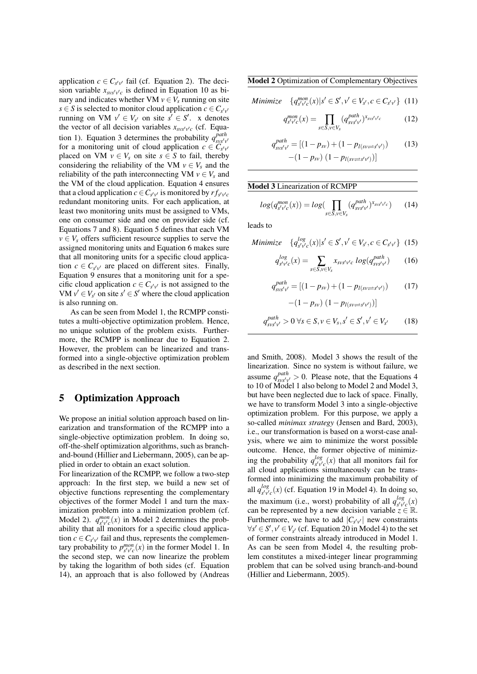application  $c \in C_{s'v'}$  fail (cf. Equation 2). The decision variable  $x_{\text{sys}' \nu' c}$  is defined in Equation 10 as binary and indicates whether VM  $v \in V_s$  running on site *s*  $\in$  *S* is selected to monitor cloud application *c*  $\in$  *C*<sub>*s'v*</sub> running on VM  $v' \in V_{s'}$  on site  $s' \in S'$ . x denotes the vector of all decision variables  $x_{\text{svs}'v'c}$  (cf. Equation 1). Equation 3 determines the probability  $q_{\text{sys}'\text{y}'}^{path}$ for a monitoring unit of cloud application  $c \in \tilde{C}_{s'v'}$ placed on VM  $v \in V_s$  on site  $s \in S$  to fail, thereby considering the reliability of the VM  $v \in V_s$  and the reliability of the path interconnecting VM  $v \in V_s$  and the VM of the cloud application. Equation 4 ensures that a cloud application  $c \in C_{s'v'}$  is monitored by  $rf_{s'v'c}$ redundant monitoring units. For each application, at least two monitoring units must be assigned to VMs, one on consumer side and one on provider side (cf. Equations 7 and 8). Equation 5 defines that each VM  $v \in V_s$  offers sufficient resource supplies to serve the assigned monitoring units and Equation 6 makes sure that all monitoring units for a specific cloud application  $c \in C_{s'v'}$  are placed on different sites. Finally, Equation 9 ensures that a monitoring unit for a specific cloud application  $c \in C_{s^{\prime}v^{\prime}}$  is not assigned to the VM  $v' \in V_{s'}$  on site  $s' \in S'$  where the cloud application is also running on.

As can be seen from Model 1, the RCMPP constitutes a multi-objective optimization problem. Hence, no unique solution of the problem exists. Furthermore, the RCMPP is nonlinear due to Equation 2. However, the problem can be linearized and transformed into a single-objective optimization problem as described in the next section.

## 5 Optimization Approach

We propose an initial solution approach based on linearization and transformation of the RCMPP into a single-objective optimization problem. In doing so, off-the-shelf optimization algorithms, such as branchand-bound (Hillier and Liebermann, 2005), can be applied in order to obtain an exact solution.

For linearization of the RCMPP, we follow a two-step approach: In the first step, we build a new set of objective functions representing the complementary objectives of the former Model 1 and turn the maximization problem into a minimization problem (cf. Model 2).  $q_{s'y'c}^{mon}(x)$  in Model 2 determines the probability that all monitors for a specific cloud application  $c \in C_{s'v'}$  fail and thus, represents the complementary probability to  $p_{s'v'c}^{mon}(x)$  in the former Model 1. In the second step, we can now linearize the problem by taking the logarithm of both sides (cf. Equation 14), an approach that is also followed by (Andreas

Model 2 Optimization of Complementary Objectives

*Minimize*  $\{q_{s'v'c}^{mon}(x)|s' \in S', v' \in V_{s'}, c \in C_{s'v'}\}$  (11)

$$
q_{s'v'c}^{mon}(x) = \prod_{s \in S, v \in V_s} (q_{svs'v'}^{path})^{x_{svs'v'c}}
$$
(12)

$$
q_{\text{sys}'\text{y}'}^{path} = [(1 - p_{\text{sv}}) + (1 - p_{l(\text{sv} \rightleftharpoons \text{s}'\text{v}')})) \tag{13}
$$

$$
-(1 - p_{\text{sv}}) (1 - p_{l(\text{sv} \rightleftharpoons \text{s}'\text{v}')})]
$$

#### Model 3 Linearization of RCMPP

$$
log(q_{s'v'c}^{mon}(x)) = log(\prod_{s \in S, v \in V_s} (q_{svs'v'}^{path})^{x_{svs'v'c}})
$$
 (14)

leads to

Minimize 
$$
\{q_{s'v'c}^{log}(x)|s' \in S', v' \in V_{s'}, c \in C_{s'v'}\}
$$
 (15)

$$
q_{s'v'c}^{log}(x) = \sum_{s \in S, v \in V_s} x_{svs'v'c} \log(q_{svs'v'}^{path}) \qquad (16)
$$

$$
q_{\rm svs'v'}^{\text{path}} = [(1 - p_{\rm sv}) + (1 - p_{l(\rm sv \rightleftharpoons s'v')}) \tag{17}
$$

$$
-(1-p_{sv}) (1-p_{l(sv\rightleftharpoons s'v')})]
$$

$$
q_{\rm sys'y'}^{\text{path}} > 0 \,\forall s \in S, v \in V_s, s' \in S', v' \in V_{s'} \tag{18}
$$

and Smith, 2008). Model 3 shows the result of the linearization. Since no system is without failure, we assume  $q_{\text{sys}'\text{y}'}^{path} > 0$ . Please note, that the Equations 4 to 10 of Model 1 also belong to Model 2 and Model 3, but have been neglected due to lack of space. Finally, we have to transform Model 3 into a single-objective optimization problem. For this purpose, we apply a so-called *minimax strategy* (Jensen and Bard, 2003), i.e., our transformation is based on a worst-case analysis, where we aim to minimize the worst possible outcome. Hence, the former objective of minimizing the probability  $q_{s'v'}^{log}$  $\int_{s'v'c}^{log}(x)$  that all monitors fail for all cloud applications simultaneously can be transformed into minimizing the maximum probability of all  $q_{s'v'}^{log}$  $\int_{s^{\prime}v^{\prime}c}^{log}(x)$  (cf. Equation 19 in Model 4). In doing so, the maximum (i.e., worst) probability of all  $q_{s'w}^{log}$  $\int_{s'v'c}^{log}(x)$ can be represented by a new decision variable  $z \in \mathbb{R}$ . Furthermore, we have to add  $|C_{s^{\prime}v^{\prime}}|$  new constraints  $\forall s' \in S', v' \in V_{s'}$  (cf. Equation 20 in Model 4) to the set of former constraints already introduced in Model 1. As can be seen from Model 4, the resulting problem constitutes a mixed-integer linear programming problem that can be solved using branch-and-bound (Hillier and Liebermann, 2005).